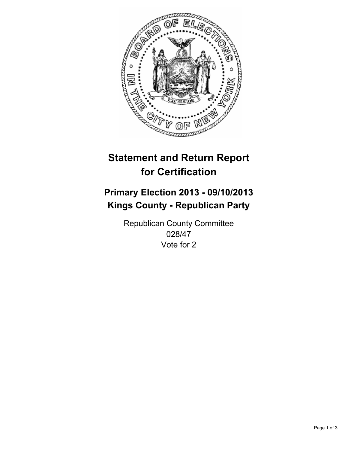

# **Statement and Return Report for Certification**

## **Primary Election 2013 - 09/10/2013 Kings County - Republican Party**

Republican County Committee 028/47 Vote for 2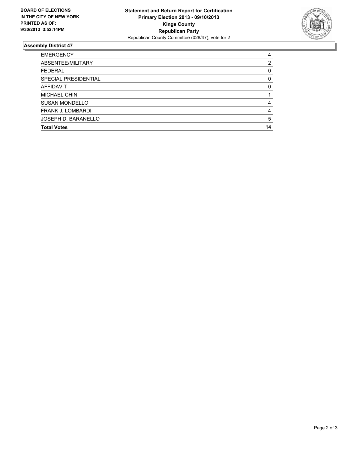

#### **Assembly District 47**

| 4        |
|----------|
| 2        |
| 0        |
| 0        |
| $\Omega$ |
|          |
| 4        |
| 4        |
| 5        |
| 14       |
|          |